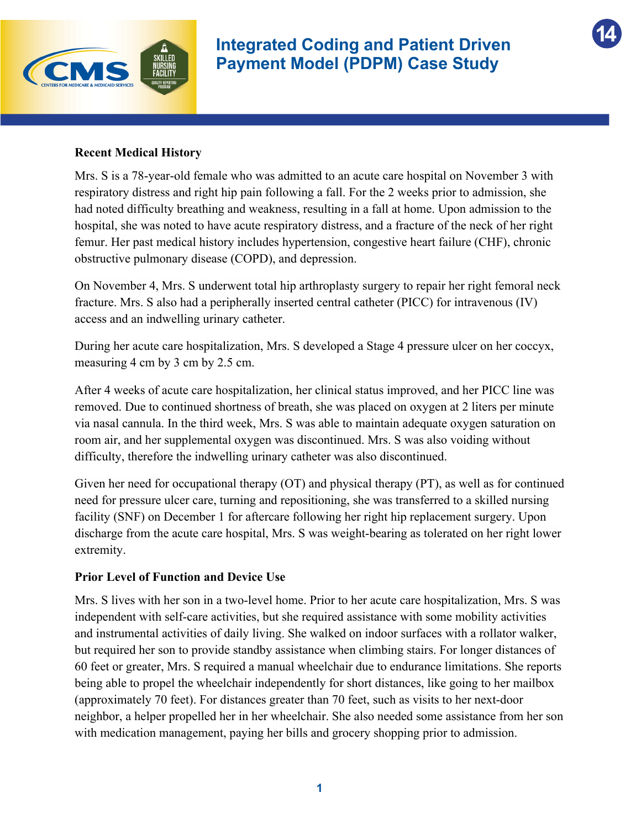

**14**

#### **Recent Medical History**

Mrs. S is a 78-year-old female who was admitted to an acute care hospital on November 3 with respiratory distress and right hip pain following a fall. For the 2 weeks prior to admission, she had noted difficulty breathing and weakness, resulting in a fall at home. Upon admission to the hospital, she was noted to have acute respiratory distress, and a fracture of the neck of her right femur. Her past medical history includes hypertension, congestive heart failure (CHF), chronic obstructive pulmonary disease (COPD), and depression.

On November 4, Mrs. S underwent total hip arthroplasty surgery to repair her right femoral neck fracture. Mrs. S also had a peripherally inserted central catheter (PICC) for intravenous (IV) access and an indwelling urinary catheter.

During her acute care hospitalization, Mrs. S developed a Stage 4 pressure ulcer on her coccyx, measuring 4 cm by 3 cm by 2.5 cm.

After 4 weeks of acute care hospitalization, her clinical status improved, and her PICC line was removed. Due to continued shortness of breath, she was placed on oxygen at 2 liters per minute via nasal cannula. In the third week, Mrs. S was able to maintain adequate oxygen saturation on room air, and her supplemental oxygen was discontinued. Mrs. S was also voiding without difficulty, therefore the indwelling urinary catheter was also discontinued.

Given her need for occupational therapy (OT) and physical therapy (PT), as well as for continued need for pressure ulcer care, turning and repositioning, she was transferred to a skilled nursing facility (SNF) on December 1 for aftercare following her right hip replacement surgery. Upon discharge from the acute care hospital, Mrs. S was weight-bearing as tolerated on her right lower extremity.

#### **Prior Level of Function and Device Use**

Mrs. S lives with her son in a two-level home. Prior to her acute care hospitalization, Mrs. S was independent with self-care activities, but she required assistance with some mobility activities and instrumental activities of daily living. She walked on indoor surfaces with a rollator walker, but required her son to provide standby assistance when climbing stairs. For longer distances of 60 feet or greater, Mrs. S required a manual wheelchair due to endurance limitations. She reports being able to propel the wheelchair independently for short distances, like going to her mailbox (approximately 70 feet). For distances greater than 70 feet, such as visits to her next-door neighbor, a helper propelled her in her wheelchair. She also needed some assistance from her son with medication management, paying her bills and grocery shopping prior to admission.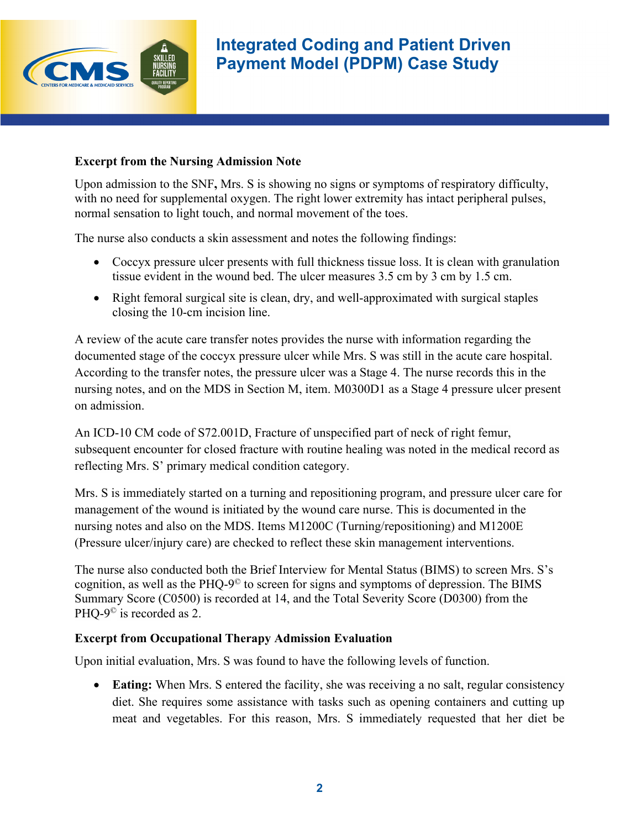

ļ

### **Excerpt from the Nursing Admission Note**

Upon admission to the SNF**,** Mrs. S is showing no signs or symptoms of respiratory difficulty, with no need for supplemental oxygen. The right lower extremity has intact peripheral pulses, normal sensation to light touch, and normal movement of the toes.

The nurse also conducts a skin assessment and notes the following findings:

- Coccyx pressure ulcer presents with full thickness tissue loss. It is clean with granulation tissue evident in the wound bed. The ulcer measures 3.5 cm by 3 cm by 1.5 cm.
- Right femoral surgical site is clean, dry, and well-approximated with surgical staples closing the 10-cm incision line.

A review of the acute care transfer notes provides the nurse with information regarding the documented stage of the coccyx pressure ulcer while Mrs. S was still in the acute care hospital. According to the transfer notes, the pressure ulcer was a Stage 4. The nurse records this in the nursing notes, and on the MDS in Section M, item. M0300D1 as a Stage 4 pressure ulcer present on admission.

An ICD-10 CM code of S72.001D, Fracture of unspecified part of neck of right femur, subsequent encounter for closed fracture with routine healing was noted in the medical record as reflecting Mrs. S' primary medical condition category.

Mrs. S is immediately started on a turning and repositioning program, and pressure ulcer care for management of the wound is initiated by the wound care nurse. This is documented in the nursing notes and also on the MDS. Items M1200C (Turning/repositioning) and M1200E (Pressure ulcer/injury care) are checked to reflect these skin management interventions.

The nurse also conducted both the Brief Interview for Mental Status (BIMS) to screen Mrs. S's cognition, as well as the PHQ-9 $\degree$  to screen for signs and symptoms of depression. The BIMS Summary Score (C0500) is recorded at 14, and the Total Severity Score (D0300) from the PHQ-9<sup>©</sup> is recorded as 2.

# **Excerpt from Occupational Therapy Admission Evaluation**

Upon initial evaluation, Mrs. S was found to have the following levels of function.

• **Eating:** When Mrs. S entered the facility, she was receiving a no salt, regular consistency diet. She requires some assistance with tasks such as opening containers and cutting up meat and vegetables. For this reason, Mrs. S immediately requested that her diet be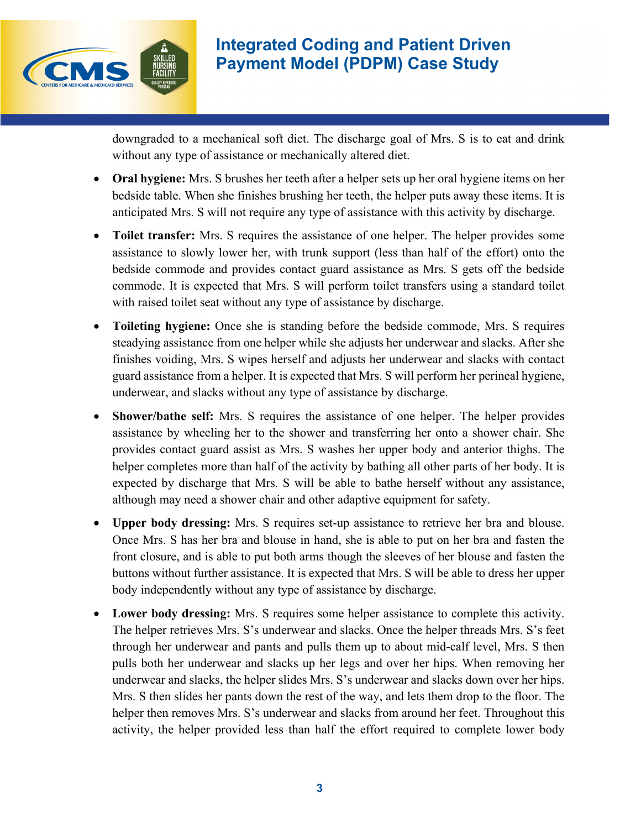

ļ

# **Integrated Coding and Patient Driven Payment Model (PDPM) Case Study**

downgraded to a mechanical soft diet. The discharge goal of Mrs. S is to eat and drink without any type of assistance or mechanically altered diet.

- **Oral hygiene:** Mrs. S brushes her teeth after a helper sets up her oral hygiene items on her bedside table. When she finishes brushing her teeth, the helper puts away these items. It is anticipated Mrs. S will not require any type of assistance with this activity by discharge.
- **Toilet transfer:** Mrs. S requires the assistance of one helper. The helper provides some assistance to slowly lower her, with trunk support (less than half of the effort) onto the bedside commode and provides contact guard assistance as Mrs. S gets off the bedside commode. It is expected that Mrs. S will perform toilet transfers using a standard toilet with raised toilet seat without any type of assistance by discharge.
- **Toileting hygiene:** Once she is standing before the bedside commode, Mrs. S requires steadying assistance from one helper while she adjusts her underwear and slacks. After she finishes voiding, Mrs. S wipes herself and adjusts her underwear and slacks with contact guard assistance from a helper. It is expected that Mrs. S will perform her perineal hygiene, underwear, and slacks without any type of assistance by discharge.
- **Shower/bathe self:** Mrs. S requires the assistance of one helper. The helper provides assistance by wheeling her to the shower and transferring her onto a shower chair. She provides contact guard assist as Mrs. S washes her upper body and anterior thighs. The helper completes more than half of the activity by bathing all other parts of her body. It is expected by discharge that Mrs. S will be able to bathe herself without any assistance, although may need a shower chair and other adaptive equipment for safety.
- **Upper body dressing:** Mrs. S requires set-up assistance to retrieve her bra and blouse. Once Mrs. S has her bra and blouse in hand, she is able to put on her bra and fasten the front closure, and is able to put both arms though the sleeves of her blouse and fasten the buttons without further assistance. It is expected that Mrs. S will be able to dress her upper body independently without any type of assistance by discharge.
- **Lower body dressing:** Mrs. S requires some helper assistance to complete this activity. The helper retrieves Mrs. S's underwear and slacks. Once the helper threads Mrs. S's feet through her underwear and pants and pulls them up to about mid-calf level, Mrs. S then pulls both her underwear and slacks up her legs and over her hips. When removing her underwear and slacks, the helper slides Mrs. S's underwear and slacks down over her hips. Mrs. S then slides her pants down the rest of the way, and lets them drop to the floor. The helper then removes Mrs. S's underwear and slacks from around her feet. Throughout this activity, the helper provided less than half the effort required to complete lower body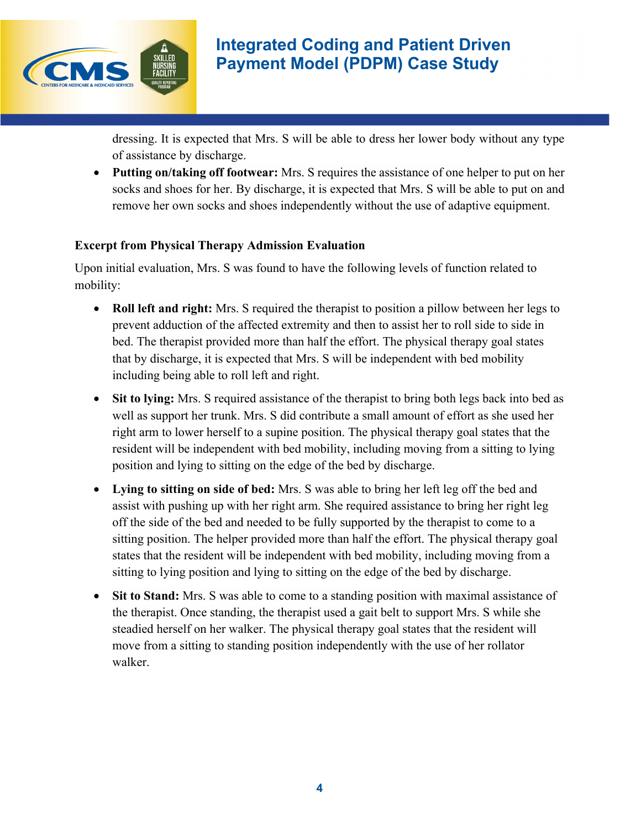

ļ

# **Integrated Coding and Patient Driven Payment Model (PDPM) Case Study**

dressing. It is expected that Mrs. S will be able to dress her lower body without any type of assistance by discharge.

• **Putting on/taking off footwear:** Mrs. S requires the assistance of one helper to put on her socks and shoes for her. By discharge, it is expected that Mrs. S will be able to put on and remove her own socks and shoes independently without the use of adaptive equipment.

# **Excerpt from Physical Therapy Admission Evaluation**

Upon initial evaluation, Mrs. S was found to have the following levels of function related to mobility:

- **Roll left and right:** Mrs. S required the therapist to position a pillow between her legs to prevent adduction of the affected extremity and then to assist her to roll side to side in bed. The therapist provided more than half the effort. The physical therapy goal states that by discharge, it is expected that Mrs. S will be independent with bed mobility including being able to roll left and right.
- **Sit to lying:** Mrs. S required assistance of the therapist to bring both legs back into bed as well as support her trunk. Mrs. S did contribute a small amount of effort as she used her right arm to lower herself to a supine position. The physical therapy goal states that the resident will be independent with bed mobility, including moving from a sitting to lying position and lying to sitting on the edge of the bed by discharge.
- **Lying to sitting on side of bed:** Mrs. S was able to bring her left leg off the bed and assist with pushing up with her right arm. She required assistance to bring her right leg off the side of the bed and needed to be fully supported by the therapist to come to a sitting position. The helper provided more than half the effort. The physical therapy goal states that the resident will be independent with bed mobility, including moving from a sitting to lying position and lying to sitting on the edge of the bed by discharge.
- **Sit to Stand:** Mrs. S was able to come to a standing position with maximal assistance of the therapist. Once standing, the therapist used a gait belt to support Mrs. S while she steadied herself on her walker. The physical therapy goal states that the resident will move from a sitting to standing position independently with the use of her rollator walker.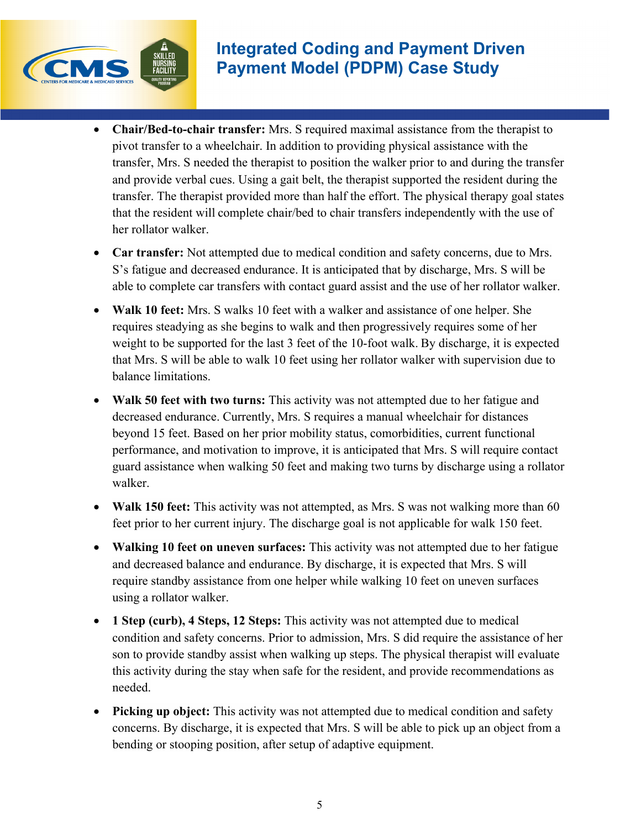

l

- **Chair/Bed-to-chair transfer:** Mrs. S required maximal assistance from the therapist to pivot transfer to a wheelchair. In addition to providing physical assistance with the transfer, Mrs. S needed the therapist to position the walker prior to and during the transfer and provide verbal cues. Using a gait belt, the therapist supported the resident during the transfer. The therapist provided more than half the effort. The physical therapy goal states that the resident will complete chair/bed to chair transfers independently with the use of her rollator walker.
- **Car transfer:** Not attempted due to medical condition and safety concerns, due to Mrs. S's fatigue and decreased endurance. It is anticipated that by discharge, Mrs. S will be able to complete car transfers with contact guard assist and the use of her rollator walker.
- **Walk 10 feet:** Mrs. S walks 10 feet with a walker and assistance of one helper. She requires steadying as she begins to walk and then progressively requires some of her weight to be supported for the last 3 feet of the 10-foot walk. By discharge, it is expected that Mrs. S will be able to walk 10 feet using her rollator walker with supervision due to balance limitations.
- **Walk 50 feet with two turns:** This activity was not attempted due to her fatigue and decreased endurance. Currently, Mrs. S requires a manual wheelchair for distances beyond 15 feet. Based on her prior mobility status, comorbidities, current functional performance, and motivation to improve, it is anticipated that Mrs. S will require contact guard assistance when walking 50 feet and making two turns by discharge using a rollator walker.
- **Walk 150 feet:** This activity was not attempted, as Mrs. S was not walking more than 60 feet prior to her current injury. The discharge goal is not applicable for walk 150 feet.
- **Walking 10 feet on uneven surfaces:** This activity was not attempted due to her fatigue and decreased balance and endurance. By discharge, it is expected that Mrs. S will require standby assistance from one helper while walking 10 feet on uneven surfaces using a rollator walker.
- **1 Step (curb), 4 Steps, 12 Steps:** This activity was not attempted due to medical condition and safety concerns. Prior to admission, Mrs. S did require the assistance of her son to provide standby assist when walking up steps. The physical therapist will evaluate this activity during the stay when safe for the resident, and provide recommendations as needed.
- **Picking up object:** This activity was not attempted due to medical condition and safety concerns. By discharge, it is expected that Mrs. S will be able to pick up an object from a bending or stooping position, after setup of adaptive equipment.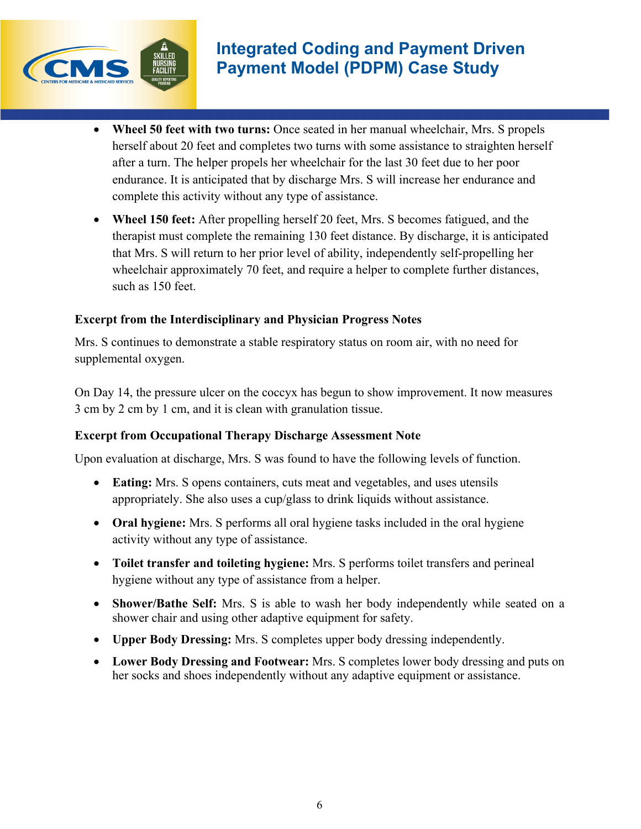

l

- **Wheel 50 feet with two turns:** Once seated in her manual wheelchair, Mrs. S propels herself about 20 feet and completes two turns with some assistance to straighten herself after a turn. The helper propels her wheelchair for the last 30 feet due to her poor endurance. It is anticipated that by discharge Mrs. S will increase her endurance and complete this activity without any type of assistance.
- **Wheel 150 feet:** After propelling herself 20 feet, Mrs. S becomes fatigued, and the therapist must complete the remaining 130 feet distance. By discharge, it is anticipated that Mrs. S will return to her prior level of ability, independently self-propelling her wheelchair approximately 70 feet, and require a helper to complete further distances, such as 150 feet.

# **Excerpt from the Interdisciplinary and Physician Progress Notes**

Mrs. S continues to demonstrate a stable respiratory status on room air, with no need for supplemental oxygen.

On Day 14, the pressure ulcer on the coccyx has begun to show improvement. It now measures 3 cm by 2 cm by 1 cm, and it is clean with granulation tissue.

### **Excerpt from Occupational Therapy Discharge Assessment Note**

Upon evaluation at discharge, Mrs. S was found to have the following levels of function.

- **Eating:** Mrs. S opens containers, cuts meat and vegetables, and uses utensils appropriately. She also uses a cup/glass to drink liquids without assistance.
- **Oral hygiene:** Mrs. S performs all oral hygiene tasks included in the oral hygiene activity without any type of assistance.
- **Toilet transfer and toileting hygiene:** Mrs. S performs toilet transfers and perineal hygiene without any type of assistance from a helper.
- **Shower/Bathe Self:** Mrs. S is able to wash her body independently while seated on a shower chair and using other adaptive equipment for safety.
- **Upper Body Dressing:** Mrs. S completes upper body dressing independently.
- Lower Body Dressing and Footwear: Mrs. S completes lower body dressing and puts on her socks and shoes independently without any adaptive equipment or assistance.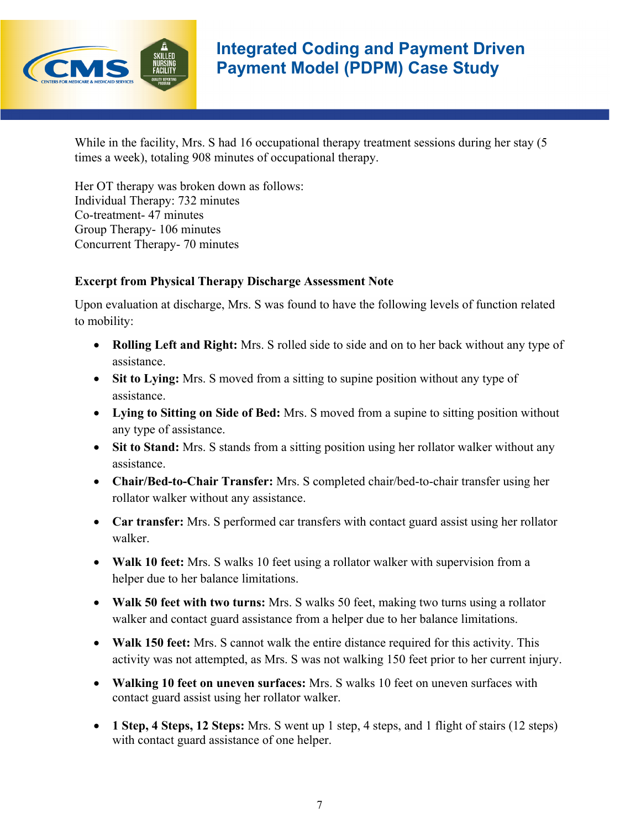

# **Integrated Coding and Payment Driven Payment Model (PDPM) Case Study**

l

While in the facility, Mrs. S had 16 occupational therapy treatment sessions during her stay (5) times a week), totaling 908 minutes of occupational therapy.

Her OT therapy was broken down as follows: Individual Therapy: 732 minutes Co-treatment- 47 minutes Group Therapy- 106 minutes Concurrent Therapy- 70 minutes

#### **Excerpt from Physical Therapy Discharge Assessment Note**

Upon evaluation at discharge, Mrs. S was found to have the following levels of function related to mobility:

- **Rolling Left and Right:** Mrs. S rolled side to side and on to her back without any type of assistance.
- Sit to Lying: Mrs. S moved from a sitting to supine position without any type of assistance.
- **Lying to Sitting on Side of Bed:** Mrs. S moved from a supine to sitting position without any type of assistance.
- Sit to Stand: Mrs. S stands from a sitting position using her rollator walker without any assistance.
- **Chair/Bed-to-Chair Transfer:** Mrs. S completed chair/bed-to-chair transfer using her rollator walker without any assistance.
- **Car transfer:** Mrs. S performed car transfers with contact guard assist using her rollator walker.
- **Walk 10 feet:** Mrs. S walks 10 feet using a rollator walker with supervision from a helper due to her balance limitations.
- **Walk 50 feet with two turns:** Mrs. S walks 50 feet, making two turns using a rollator walker and contact guard assistance from a helper due to her balance limitations.
- **Walk 150 feet:** Mrs. S cannot walk the entire distance required for this activity. This activity was not attempted, as Mrs. S was not walking 150 feet prior to her current injury.
- **Walking 10 feet on uneven surfaces:** Mrs. S walks 10 feet on uneven surfaces with contact guard assist using her rollator walker.
- **1 Step, 4 Steps, 12 Steps:** Mrs. S went up 1 step, 4 steps, and 1 flight of stairs (12 steps) with contact guard assistance of one helper.